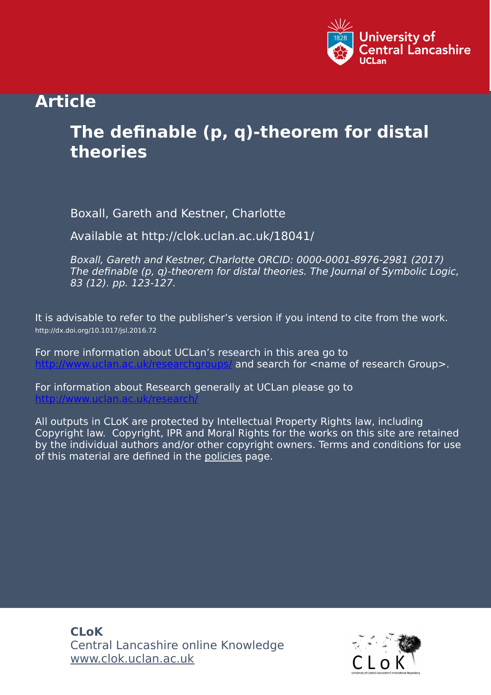

# **Article**

# **The definable (p, q)-theorem for distal theories**

Boxall, Gareth and Kestner, Charlotte

Available at http://clok.uclan.ac.uk/18041/

Boxall, Gareth and Kestner, Charlotte ORCID: 0000-0001-8976-2981 (2017) The definable (p, q)-theorem for distal theories. The Journal of Symbolic Logic, 83 (12). pp. 123-127.

It is advisable to refer to the publisher's version if you intend to cite from the work. http://dx.doi.org/10.1017/jsl.2016.72

For more information about UCLan's research in this area go to and search for <name of research Group>.

For information about Research generally at UCLan please go to <http://www.uclan.ac.uk/research/>

All outputs in CLoK are protected by Intellectual Property Rights law, including Copyright law. Copyright, IPR and Moral Rights for the works on this site are retained by the individual authors and/or other copyright owners. Terms and conditions for use of this material are defined in the [policies](https://clok.uclan.ac.uk/policies.html) page.

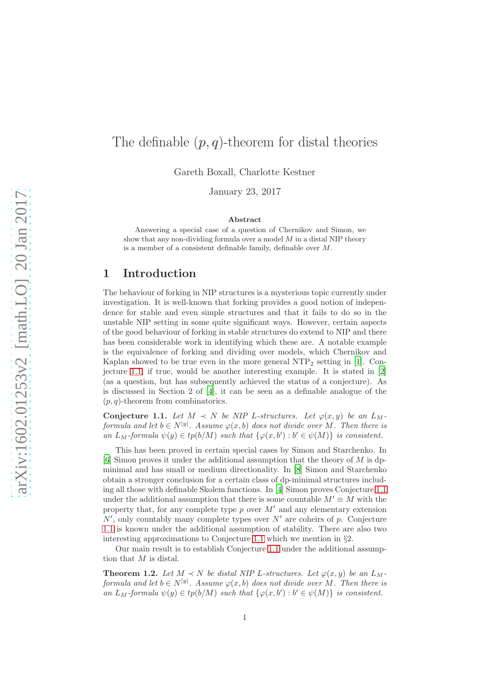## The definable  $(p, q)$ -theorem for distal theories

Gareth Boxall, Charlotte Kestner

January 23, 2017

#### Abstract

Answering a special case of a question of Chernikov and Simon, we show that any non-dividing formula over a model  $M$  in a distal NIP theory is a member of a consistent definable family, definable over M.

### 1 Introduction

The behaviour of forking in NIP structures is a mysterious topic currently under investigation. It is well-known that forking provides a good notion of independence for stable and even simple structures and that it fails to do so in the unstable NIP setting in some quite significant ways. However, certain aspects of the good behaviour of forking in stable structures do extend to NIP and there has been considerable work in identifying which these are. A notable example is the equivalence of forking and dividing over models, which Chernikov and Kaplan showed to be true even in the more general  $NTP_2$  setting in [\[1\]](#page-5-0). Conjecture [1.1,](#page-1-0) if true, would be another interesting example. It is stated in [\[2\]](#page-5-1) (as a question, but has subsequently achieved the status of a conjecture). As is discussed in Section 2 of [\[4\]](#page-5-2), it can be seen as a definable analogue of the  $(p, q)$ -theorem from combinatorics.

<span id="page-1-0"></span>Conjecture 1.1. Let  $M \prec N$  be NIP L-structures. Let  $\varphi(x, y)$  be an  $L_M$ formula and let  $b \in N^{|y|}$ . Assume  $\varphi(x, b)$  does not divide over M. Then there is an  $L_M$ -formula  $\psi(y) \in tp(b/M)$  such that  $\{\varphi(x, b') : b' \in \psi(M)\}$  is consistent.

This has been proved in certain special cases by Simon and Starchenko. In  $[6]$  Simon proves it under the additional assumption that the theory of M is dpminimal and has small or medium directionality. In [\[8\]](#page-5-4) Simon and Starchenko obtain a stronger conclusion for a certain class of dp-minimal structures including all those with definable Skolem functions. In [\[4](#page-5-2)] Simon proves Conjecture [1.1](#page-1-0) under the additional assumption that there is some countable  $M' \equiv M$  with the property that, for any complete type  $p$  over  $M'$  and any elementary extension  $N'$ , only countably many complete types over  $N'$  are coheirs of p. Conjecture [1.1](#page-1-0) is known under the additional assumption of stability. There are also two interesting approximations to Conjecture [1.1](#page-1-0) which we mention in §2.

Our main result is to establish Conjecture [1.1](#page-1-0) under the additional assumption that  $M$  is distal.

<span id="page-1-1"></span>**Theorem 1.2.** Let  $M \prec N$  be distal NIP L-structures. Let  $\varphi(x, y)$  be an  $L_M$ formula and let  $b \in N^{|y|}$ . Assume  $\varphi(x, b)$  does not divide over M. Then there is an  $L_M$ -formula  $\psi(y) \in tp(b/M)$  such that  $\{\varphi(x, b') : b' \in \psi(M)\}$  is consistent.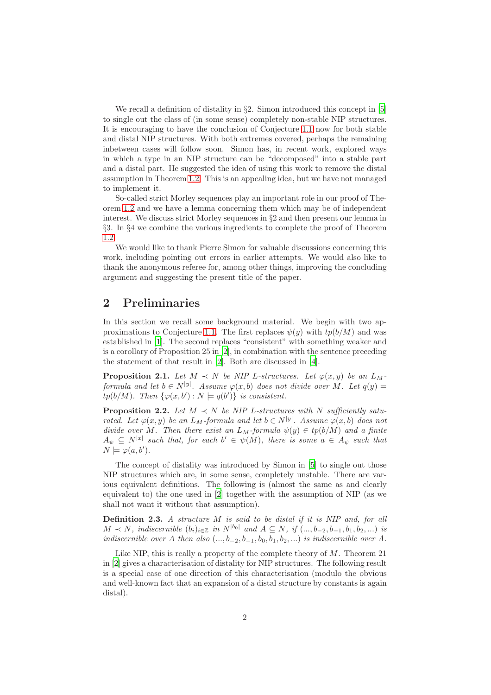We recall a definition of distality in  $\S2$ . Simon introduced this concept in [\[5\]](#page-5-5) to single out the class of (in some sense) completely non-stable NIP structures. It is encouraging to have the conclusion of Conjecture [1.1](#page-1-0) now for both stable and distal NIP structures. With both extremes covered, perhaps the remaining inbetween cases will follow soon. Simon has, in recent work, explored ways in which a type in an NIP structure can be "decomposed" into a stable part and a distal part. He suggested the idea of using this work to remove the distal assumption in Theorem [1.2.](#page-1-1) This is an appealing idea, but we have not managed to implement it.

So-called strict Morley sequences play an important role in our proof of Theorem [1.2](#page-1-1) and we have a lemma concerning them which may be of independent interest. We discuss strict Morley sequences in §2 and then present our lemma in §3. In §4 we combine the various ingredients to complete the proof of Theorem [1.2.](#page-1-1)

We would like to thank Pierre Simon for valuable discussions concerning this work, including pointing out errors in earlier attempts. We would also like to thank the anonymous referee for, among other things, improving the concluding argument and suggesting the present title of the paper.

### 2 Preliminaries

In this section we recall some background material. We begin with two ap-proximations to Conjecture [1.1.](#page-1-0) The first replaces  $\psi(y)$  with  $tp(b/M)$  and was established in [\[1\]](#page-5-0). The second replaces "consistent" with something weaker and is a corollary of Proposition 25 in [\[2\]](#page-5-1), in combination with the sentence preceding the statement of that result in [\[2](#page-5-1)]. Both are discussed in [\[4](#page-5-2)].

**Proposition 2.1.** Let  $M \prec N$  be NIP L-structures. Let  $\varphi(x, y)$  be an  $L_M$ formula and let  $b \in N^{|y|}$ . Assume  $\varphi(x, b)$  does not divide over M. Let  $q(y) =$  $tp(b/M)$ . Then  $\{\varphi(x,b'): N \models q(b')\}$  is consistent.

<span id="page-2-0"></span>**Proposition 2.2.** Let  $M \prec N$  be NIP L-structures with N sufficiently saturated. Let  $\varphi(x, y)$  be an  $L_M$ -formula and let  $b \in N^{|y|}$ . Assume  $\varphi(x, b)$  does not divide over M. Then there exist an  $L_M$ -formula  $\psi(y) \in tp(b/M)$  and a finite  $A_{\psi} \subseteq N^{|x|}$  such that, for each  $b' \in \psi(M)$ , there is some  $a \in A_{\psi}$  such that  $N \models \varphi(a, b').$ 

The concept of distality was introduced by Simon in [\[5](#page-5-5)] to single out those NIP structures which are, in some sense, completely unstable. There are various equivalent definitions. The following is (almost the same as and clearly equivalent to) the one used in [\[2\]](#page-5-1) together with the assumption of NIP (as we shall not want it without that assumption).

Definition 2.3. A structure M is said to be distal if it is NIP and, for all  $M \prec N$ , indiscernible  $(b_i)_{i \in \mathbb{Z}}$  in  $N^{|b_0|}$  and  $A \subseteq N$ , if  $(..., b_{-2}, b_{-1}, b_1, b_2,...)$  is indiscernible over A then also  $(..., b_{-2}, b_{-1}, b_0, b_1, b_2, ...)$  is indiscernible over A.

Like NIP, this is really a property of the complete theory of  $M$ . Theorem 21 in [\[2](#page-5-1)] gives a characterisation of distality for NIP structures. The following result is a special case of one direction of this characterisation (modulo the obvious and well-known fact that an expansion of a distal structure by constants is again distal).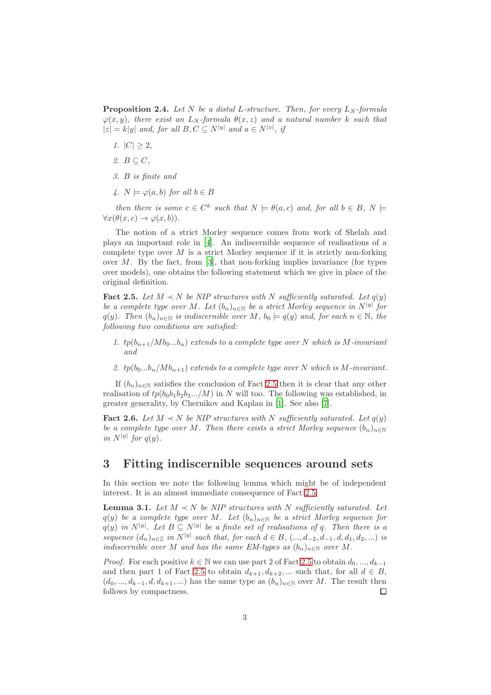<span id="page-3-1"></span>**Proposition 2.4.** Let N be a distal L-structure. Then, for every  $L_N$ -formula  $\varphi(x, y)$ , there exist an  $L_N$ -formula  $\theta(x, z)$  and a natural number k such that  $|z| = k|y|$  and, for all  $B, C \subseteq N^{|y|}$  and  $a \in N^{|x|}$ , if

- 1.  $|C| \geq 2$ ,
- 2.  $B \subseteq C$ ,
- 3. B is finite and
- 4.  $N \models \varphi(a, b)$  for all  $b \in B$

then there is some  $c \in C^k$  such that  $N \models \theta(a, c)$  and, for all  $b \in B$ ,  $N \models$  $\forall x(\theta(x, c) \rightarrow \varphi(x, b)).$ 

The notion of a strict Morley sequence comes from work of Shelah and plays an important role in [\[4\]](#page-5-2). An indiscernible sequence of realisations of a complete type over  $M$  is a strict Morley sequence if it is strictly non-forking over  $M$ . By the fact, from [\[3](#page-5-6)], that non-forking implies invariance (for types over models), one obtains the following statement which we give in place of the original definition.

<span id="page-3-0"></span>Fact 2.5. Let  $M \prec N$  be NIP structures with N sufficiently saturated. Let  $q(y)$ be a complete type over M. Let  $(b_n)_{n \in \mathbb{N}}$  be a strict Morley sequence in  $N^{|y|}$  for  $q(y)$ . Then  $(b_n)_{n\in\mathbb{N}}$  is indiscernible over M,  $b_0 \models q(y)$  and, for each  $n \in \mathbb{N}$ , the following two conditions are satisfied:

- 1.  $tp(b_{n+1}/Mb_0...b_n)$  extends to a complete type over N which is M-invariant and
- 2.  $tp(b_0...b_n/Mb_{n+1})$  extends to a complete type over N which is M-invariant.

If  $(b_n)_{n\in\mathbb{N}}$  satisfies the conclusion of Fact [2.5](#page-3-0) then it is clear that any other realisation of  $tp(b_0b_1b_2b_3.../M)$  in N will too. The following was established, in greater generality, by Chernikov and Kaplan in [\[1\]](#page-5-0). See also [\[7\]](#page-5-7).

**Fact 2.6.** Let  $M \prec N$  be NIP structures with N sufficiently saturated. Let  $q(y)$ be a complete type over M. Then there exists a strict Morley sequence  $(b_n)_{n\in\mathbb{N}}$ in  $N^{|y|}$  for  $q(y)$ .

#### 3 Fitting indiscernible sequences around sets

In this section we note the following lemma which might be of independent interest. It is an almost immediate consequence of Fact [2.5.](#page-3-0)

<span id="page-3-2"></span>**Lemma 3.1.** Let  $M \prec N$  be NIP structures with N sufficiently saturated. Let  $q(y)$  be a complete type over M. Let  $(b_n)_{n\in\mathbb{N}}$  be a strict Morley sequence for  $q(y)$  in  $N^{|y|}$ . Let  $B \subseteq N^{|y|}$  be a finite set of realisations of q. Then there is a sequence  $(d_n)_{n \in \mathbb{Z}}$  in  $N^{|y|}$  such that, for each  $d \in B$ ,  $(..., d_{-2}, d_{-1}, d, d_1, d_2,...)$  is indiscernible over M and has the same EM-types as  $(b_n)_{n\in\mathbb{N}}$  over M.

*Proof.* For each positive  $k \in \mathbb{N}$  we can use part 2 of Fact [2.5](#page-3-0) to obtain  $d_0, ..., d_{k-1}$ and then part 1 of Fact [2.5](#page-3-0) to obtain  $d_{k+1}, d_{k+2}, ...$  such that, for all  $d \in B$ ,  $(d_0, ..., d_{k-1}, d, d_{k+1}, ...)$  has the same type as  $(b_n)_{n \in \mathbb{N}}$  over M. The result then follows by compactness.  $\Box$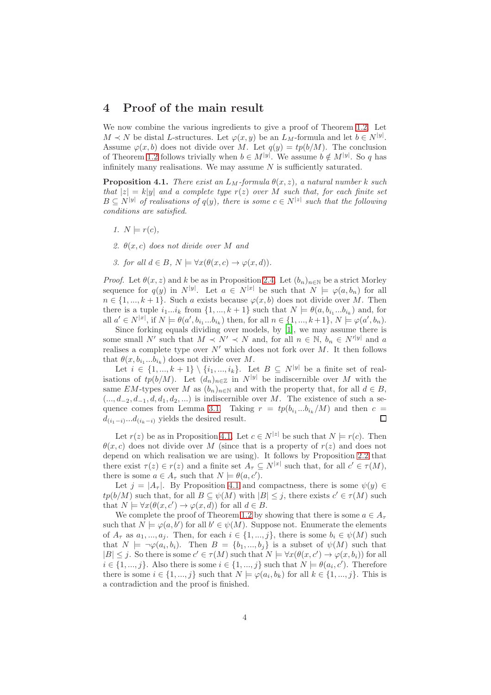#### 4 Proof of the main result

We now combine the various ingredients to give a proof of Theorem [1.2.](#page-1-1) Let  $M \prec N$  be distal L-structures. Let  $\varphi(x, y)$  be an  $L_M$ -formula and let  $b \in N^{|y|}$ . Assume  $\varphi(x, b)$  does not divide over M. Let  $q(y) = tp(b/M)$ . The conclusion of Theorem [1.2](#page-1-1) follows trivially when  $b \in M^{|y|}$ . We assume  $b \notin M^{|y|}$ . So q has infinitely many realisations. We may assume  $N$  is sufficiently saturated.

<span id="page-4-0"></span>**Proposition 4.1.** There exist an  $L_M$ -formula  $\theta(x, z)$ , a natural number k such that  $|z| = k|y|$  and a complete type  $r(z)$  over M such that, for each finite set  $B \subseteq N^{|y|}$  of realisations of  $q(y)$ , there is some  $c \in N^{|z|}$  such that the following conditions are satisfied.

- 1.  $N \models r(c)$ ,
- 2.  $\theta(x, c)$  does not divide over M and
- 3. for all  $d \in B$ ,  $N \models \forall x (\theta(x, c) \rightarrow \varphi(x, d))$ .

*Proof.* Let  $\theta(x, z)$  and k be as in Proposition [2.4.](#page-3-1) Let  $(b_n)_{n \in \mathbb{N}}$  be a strict Morley sequence for  $q(y)$  in  $N^{|y|}$ . Let  $a \in N^{|x|}$  be such that  $N \models \varphi(a, b_n)$  for all  $n \in \{1, ..., k+1\}$ . Such a exists because  $\varphi(x, b)$  does not divide over M. Then there is a tuple  $i_1...i_k$  from  $\{1, ..., k+1\}$  such that  $N \models \theta(a, b_{i_1}...b_{i_k})$  and, for all  $a' \in N^{[x]}$ , if  $N \models \theta(a', b_{i_1} \dots b_{i_k})$  then, for all  $n \in \{1, ..., k+1\}$ ,  $N \models \varphi(a', b_n)$ .

Since forking equals dividing over models, by [\[1\]](#page-5-0), we may assume there is some small N' such that  $M \prec N' \prec N$  and, for all  $n \in \mathbb{N}$ ,  $b_n \in N'|y|$  and a realises a complete type over  $N'$  which does not fork over  $M$ . It then follows that  $\theta(x, b_{i_1}...b_{i_k})$  does not divide over M.

Let  $i \in \{1, ..., k+1\} \setminus \{i_1, ..., i_k\}$ . Let  $B \subseteq N^{|y|}$  be a finite set of realisations of  $tp(b/M)$ . Let  $(d_n)_{n\in\mathbb{Z}}$  in  $N^{|y|}$  be indiscernible over M with the same EM-types over M as  $(b_n)_{n\in\mathbb{N}}$  and with the property that, for all  $d \in B$ ,  $(..., d_{-2}, d_{-1}, d, d_1, d_2, ...)$  is indiscernible over M. The existence of such a se-quence comes from Lemma [3.1.](#page-3-2) Taking  $r = tp(b_{i_1}...b_{i_k}/M)$  and then  $c =$  $d_{(i_1-i)}...d_{(i_k-i)}$  yields the desired result.  $\Box$ 

Let  $r(z)$  be as in Proposition [4.1.](#page-4-0) Let  $c \in N^{|z|}$  be such that  $N \models r(c)$ . Then  $\theta(x, c)$  does not divide over M (since that is a property of  $r(z)$ ) and does not depend on which realisation we are using). It follows by Proposition [2.2](#page-2-0) that there exist  $\tau(z) \in r(z)$  and a finite set  $A_{\tau} \subseteq N^{|x|}$  such that, for all  $c' \in \tau(M)$ , there is some  $a \in A_{\tau}$  such that  $N \models \theta(a, c')$ .

Let  $j = |A_\tau|$ . By Proposition [4.1](#page-4-0) and compactness, there is some  $\psi(y) \in$  $tp(b/M)$  such that, for all  $B \subseteq \psi(M)$  with  $|B| \leq j$ , there exists  $c' \in \tau(M)$  such that  $N \models \forall x (\theta(x, c') \rightarrow \varphi(x, d))$  for all  $d \in B$ .

We complete the proof of Theorem [1.2](#page-1-1) by showing that there is some  $a \in A_\tau$ such that  $N \models \varphi(a, b')$  for all  $b' \in \psi(M)$ . Suppose not. Enumerate the elements of  $A_{\tau}$  as  $a_1, ..., a_j$ . Then, for each  $i \in \{1, ..., j\}$ , there is some  $b_i \in \psi(M)$  such that  $N \models \neg \varphi(a_i, b_i)$ . Then  $B = \{b_1, ..., b_j\}$  is a subset of  $\psi(M)$  such that  $|B| \leq j$ . So there is some  $c' \in \tau(M)$  such that  $N \models \forall x(\theta(x, c') \rightarrow \varphi(x, b_i))$  for all  $i \in \{1, ..., j\}$ . Also there is some  $i \in \{1, ..., j\}$  such that  $N \models \theta(a_i, c')$ . Therefore there is some  $i \in \{1, ..., j\}$  such that  $N \models \varphi(a_i, b_k)$  for all  $k \in \{1, ..., j\}$ . This is a contradiction and the proof is finished.